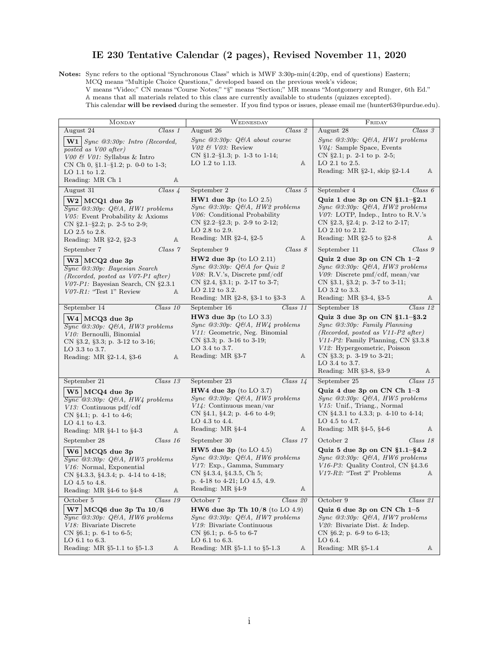## IE 230 Tentative Calendar (2 pages), Revised November 11, 2020

Notes: Sync refers to the optional "Synchronous Class" which is MWF 3:30p-min(4:20p, end of questions) Eastern; MCQ means "Multiple Choice Questions," developed based on the previous week's videos;

V means "Video;" CN means "Course Notes;" "§" means "Section;" MR means "Montgomery and Runger, 6th Ed." A means that all materials related to this class are currently available to students (quizzes excepted).

This calendar will be revised during the semester. If you find typos or issues, please email me (hunter63@purdue.edu).

| <b>MONDAY</b>                                                                                                                                                                                                          | WEDNESDAY                                                                                                                                                                           | FRIDAY                                                                                                                                                                                                                                                                 |
|------------------------------------------------------------------------------------------------------------------------------------------------------------------------------------------------------------------------|-------------------------------------------------------------------------------------------------------------------------------------------------------------------------------------|------------------------------------------------------------------------------------------------------------------------------------------------------------------------------------------------------------------------------------------------------------------------|
| August 24                                                                                                                                                                                                              | August 26                                                                                                                                                                           | August 28                                                                                                                                                                                                                                                              |
| $Class\ 1$                                                                                                                                                                                                             | Class 2                                                                                                                                                                             | $\overline{Class}$ 3                                                                                                                                                                                                                                                   |
| <b>W1</b> $\vert$ <i>Sync</i> @3:30p: <i>Intro</i> ( <i>Recorded,</i><br>posted as V00 after)<br>$V00 \& V01$ : Syllabus & Intro<br>CN Ch 0, $\S1.1-\S1.2$ ; p. 0-0 to 1-3;<br>LO 1.1 to 1.2.<br>Reading: MR Ch 1<br>Α | $Sync$ @3:30p: $QBA$ about course<br>$V02 \& V03$ : Review<br>CN $\S1.2-\S1.3$ ; p. 1-3 to 1-14;<br>LO 1.2 to 1.13.<br>Α                                                            | $Sync$ @3:30p: $Q\&A, H W1$ problems<br>$V04$ : Sample Space, Events<br>CN $\S$ 2.1; p. 2-1 to p. 2-5;<br>$LO$ 2.1 to 2.5.<br>Reading: $MR \S 2-1$ , skip $\S 2-1.4$<br>A                                                                                              |
| August 31                                                                                                                                                                                                              | September 2                                                                                                                                                                         | September 4                                                                                                                                                                                                                                                            |
| $Class\; 4$                                                                                                                                                                                                            | $Class\ 5$                                                                                                                                                                          | Class 6                                                                                                                                                                                                                                                                |
| $W2$ MCQ1 due 3p                                                                                                                                                                                                       | $HW1$ due 3p (to LO 2.5)                                                                                                                                                            | Quiz 1 due 3p on $CN$ $\S1.1-\S2.1$                                                                                                                                                                                                                                    |
| $\overline{Sync}$ @3:30p: Q&A, HW1 problems                                                                                                                                                                            | $Sync$ @3:30p: $Q\&A$ , HW2 problems                                                                                                                                                | $Sync$ @3:30p: $Q\&A$ , HW2 problems                                                                                                                                                                                                                                   |
| V05: Event Probability & Axioms                                                                                                                                                                                        | V06: Conditional Probability                                                                                                                                                        | $V07$ : LOTP, Indep., Intro to R.V.'s                                                                                                                                                                                                                                  |
| CN $\S2.1-\S2.2$ ; p. 2-5 to 2-9;                                                                                                                                                                                      | CN $\S2.2-\S2.3$ ; p. 2-9 to 2-12;                                                                                                                                                  | CN $\S 2.3$ , $\S 2.4$ ; p. 2-12 to 2-17;                                                                                                                                                                                                                              |
| LO 2.5 to 2.8.                                                                                                                                                                                                         | LO 2.8 to 2.9.                                                                                                                                                                      | LO $2.10$ to $2.12$ .                                                                                                                                                                                                                                                  |
| Reading: MR §2-2, §2-3                                                                                                                                                                                                 | Reading: MR $\S 2-4, \S 2-5$                                                                                                                                                        | Reading: MR $\S2-5$ to $\S2-8$                                                                                                                                                                                                                                         |
| Α                                                                                                                                                                                                                      | Α                                                                                                                                                                                   | Α                                                                                                                                                                                                                                                                      |
| September 7<br>Class 7<br>W3 MCQ2 due 3p<br>$\overline{Sync}$ @3:30p: Bayesian Search                                                                                                                                  | Class 8<br>September 9<br>$HW2$ due 3p (to LO 2.11)<br>$Sync$ @3:30p: Q&A for Quiz 2<br>$V08$ : R.V.'s, Discrete pmf/cdf                                                            | September 11<br>Class 9<br>Quiz 2 due 3p on CN Ch 1-2<br>$Sync$ @3:30p: $Q\&A$ , HW3 problems<br>$V09$ : Discrete pmf/cdf, mean/var                                                                                                                                    |
| (Recorded, posted as $V07-P1$ after)                                                                                                                                                                                   | CN $\S 2.4$ , $\S 3.1$ ; p. 2-17 to 3-7;                                                                                                                                            | CN $\S 3.1$ , $\S 3.2$ ; p. 3-7 to 3-11;                                                                                                                                                                                                                               |
| V07-P1: Bayesian Search, CN §2.3.1                                                                                                                                                                                     | LO 2.12 to 3.2.                                                                                                                                                                     | LO 3.2 to 3.3.                                                                                                                                                                                                                                                         |
| $V07-R1$ : "Test 1" Review                                                                                                                                                                                             | Reading: MR §2-8, §3-1 to §3-3                                                                                                                                                      | Reading: MR §3-4, §3-5                                                                                                                                                                                                                                                 |
| Α                                                                                                                                                                                                                      | Α                                                                                                                                                                                   | Α                                                                                                                                                                                                                                                                      |
| September 14                                                                                                                                                                                                           | September 16                                                                                                                                                                        | September 18                                                                                                                                                                                                                                                           |
| $Class\ 10$                                                                                                                                                                                                            | $Class\ 11$                                                                                                                                                                         | Class 12                                                                                                                                                                                                                                                               |
| W4 MCQ3 due 3p<br>$\overline{Sync}$ @3:30p: Q&A, HW3 problems<br>V10: Bernoulli, Binomial<br>CN $\S 3.2$ , $\S 3.3$ ; p. 3-12 to 3-16;<br>LO 3.3 to 3.7.<br>Reading: MR §2-1.4, §3-6<br>А                              | $HW3$ due $3p$ (to LO 3.3)<br>$Sync$ @3:30p: $Q\&A$ , HW4 problems<br>V11. Geometric, Neg. Binomial<br>CN $\S 3.3$ ; p. 3-16 to 3-19;<br>LO 3.4 to 3.7.<br>Reading: MR §3-7<br>Α    | Quiz 3 due 3p on $CN$ $\S1.1-\S3.2$<br>$Sync$ @3:30p: Family Planning<br>(Recorded, posted as V11-P2 after)<br>$V11-P2$ : Family Planning, CN $\S 3.3.8$<br>V12: Hypergeometric, Poisson<br>CN §3.3; p. 3-19 to 3-21;<br>LO 3.4 to 3.7.<br>Reading: MR §3-8, §3-9<br>Α |
| September 21                                                                                                                                                                                                           | September 23                                                                                                                                                                        | September 25                                                                                                                                                                                                                                                           |
| Class 13                                                                                                                                                                                                               | Class $14$                                                                                                                                                                          | $Class\ 15$                                                                                                                                                                                                                                                            |
| W5 MCQ4 due 3p                                                                                                                                                                                                         | $HW4$ due 3p (to LO 3.7)                                                                                                                                                            | Quiz 4 due 3p on CN Ch 1-3                                                                                                                                                                                                                                             |
| $\overline{Sync}$ @3:30p: Q&A, HW4 problems                                                                                                                                                                            | $Sync$ @3:30p: $Q\&A, HW5$ problems                                                                                                                                                 | $Sync$ @3:30p: $Q\&A$ , HW5 problems                                                                                                                                                                                                                                   |
| $V13$ : Continuous pdf/cdf                                                                                                                                                                                             | $V14$ : Continuous mean/var                                                                                                                                                         | V15: Unif., Triang., Normal                                                                                                                                                                                                                                            |
| CN $\S 4.1$ ; p. 4-1 to 4-6;                                                                                                                                                                                           | CN $\S 4.1$ , $\S 4.2$ ; p. 4-6 to 4-9;                                                                                                                                             | CN §4.3.1 to 4.3.3; p. 4-10 to 4-14;                                                                                                                                                                                                                                   |
| LO 4.1 to 4.3.                                                                                                                                                                                                         | LO 4.3 to 4.4.                                                                                                                                                                      | LO 4.5 to 4.7.                                                                                                                                                                                                                                                         |
| Reading: MR $\S 4-1$ to $\S 4-3$                                                                                                                                                                                       | Reading: MR §4-4                                                                                                                                                                    | Reading: MR §4-5, §4-6                                                                                                                                                                                                                                                 |
| Α                                                                                                                                                                                                                      | Α                                                                                                                                                                                   | Α                                                                                                                                                                                                                                                                      |
| September 28                                                                                                                                                                                                           | September 30                                                                                                                                                                        | October 2                                                                                                                                                                                                                                                              |
| Class~16                                                                                                                                                                                                               | $Class\ 17$                                                                                                                                                                         | Class 18                                                                                                                                                                                                                                                               |
| $W6$ MCQ5 due 3p<br>$\overline{Sync}$ @3:30p: Q&A, HW5 problems<br>V <sub>16</sub> : Normal, Exponential<br>CN $\S 4.3.3$ , $\S 4.3.4$ ; p. 4-14 to 4-18;<br>LO 4.5 to 4.8.<br>Reading: MR §4-6 to §4-8<br>Α           | $HW5$ due 3p (to LO 4.5)<br>$Sync$ @3:30p: $Q\&A$ , HW6 problems<br>V17: Exp., Gamma, Summary<br>CN §4.3.4, §4.3.5, Ch 5;<br>p. 4-18 to 4-21; LO 4.5, 4.9.<br>Reading: MR §4-9<br>Α | Quiz 5 due 3p on $CN$ $\S1.1-\S4.2$<br>$Sync$ @3:30p: $Q\&A$ , HW6 problems<br>$V16-P3$ : Quality Control, CN $\S 4.3.6$<br>V17-R2: "Test 2" Problems<br>Α                                                                                                             |
| October 5                                                                                                                                                                                                              | October 7                                                                                                                                                                           | October 9                                                                                                                                                                                                                                                              |
| $Class\ 19$                                                                                                                                                                                                            | Class 20                                                                                                                                                                            | Class 21                                                                                                                                                                                                                                                               |
| $W7$ MCQ6 due 3p Tu $10/6$                                                                                                                                                                                             | <b>HW6</b> due 3p Th $10/8$ (to LO 4.9)                                                                                                                                             | Quiz 6 due 3p on CN Ch 1-5                                                                                                                                                                                                                                             |
| $\overline{Sync}$ @3:30p: Q&A, HW6 problems                                                                                                                                                                            | $Sync$ @3:30p: Q&A, HW7 problems                                                                                                                                                    | $Sync$ @3:30p: $Q\&A$ , HW7 problems                                                                                                                                                                                                                                   |
| V <sub>18</sub> : Bivariate Discrete                                                                                                                                                                                   | V19: Bivariate Continuous                                                                                                                                                           | V20. Bivariate Dist. & Indep.                                                                                                                                                                                                                                          |
| CN $\S6.1$ ; p. 6-1 to 6-5;                                                                                                                                                                                            | CN $\S6.1$ ; p. 6-5 to 6-7                                                                                                                                                          | CN $\S6.2$ ; p. 6-9 to 6-13;                                                                                                                                                                                                                                           |
| LO 6.1 to 6.3.                                                                                                                                                                                                         | LO $6.1$ to $6.3$ .                                                                                                                                                                 | LO 6.4.                                                                                                                                                                                                                                                                |
| Reading: MR §5-1.1 to §5-1.3                                                                                                                                                                                           | Reading: MR §5-1.1 to §5-1.3                                                                                                                                                        | Reading: MR §5-1.4                                                                                                                                                                                                                                                     |
| Α                                                                                                                                                                                                                      | Α                                                                                                                                                                                   | Α                                                                                                                                                                                                                                                                      |